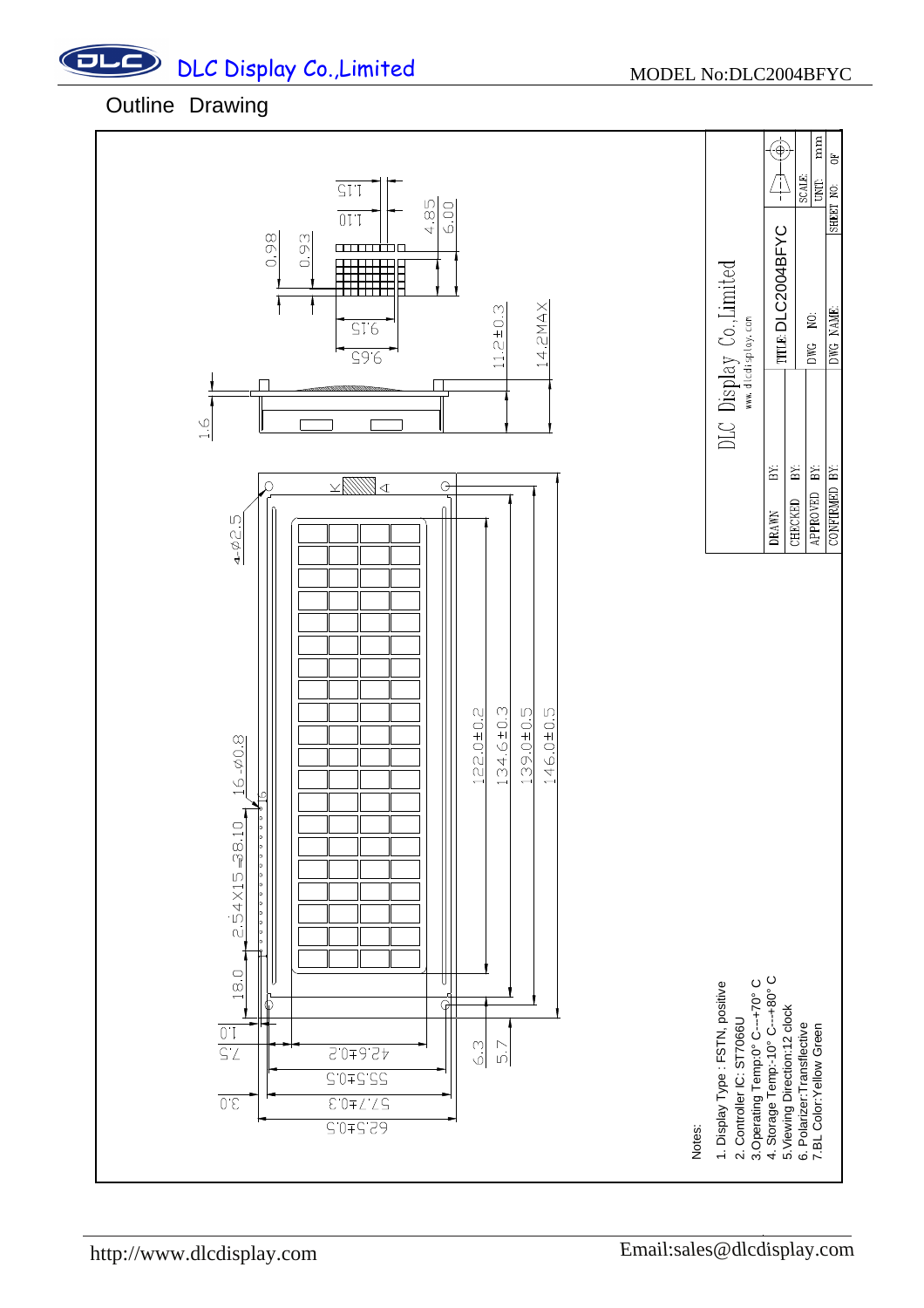## $ULC$ DLC Display Co., Limited MODEL No:DLC2004BFYC



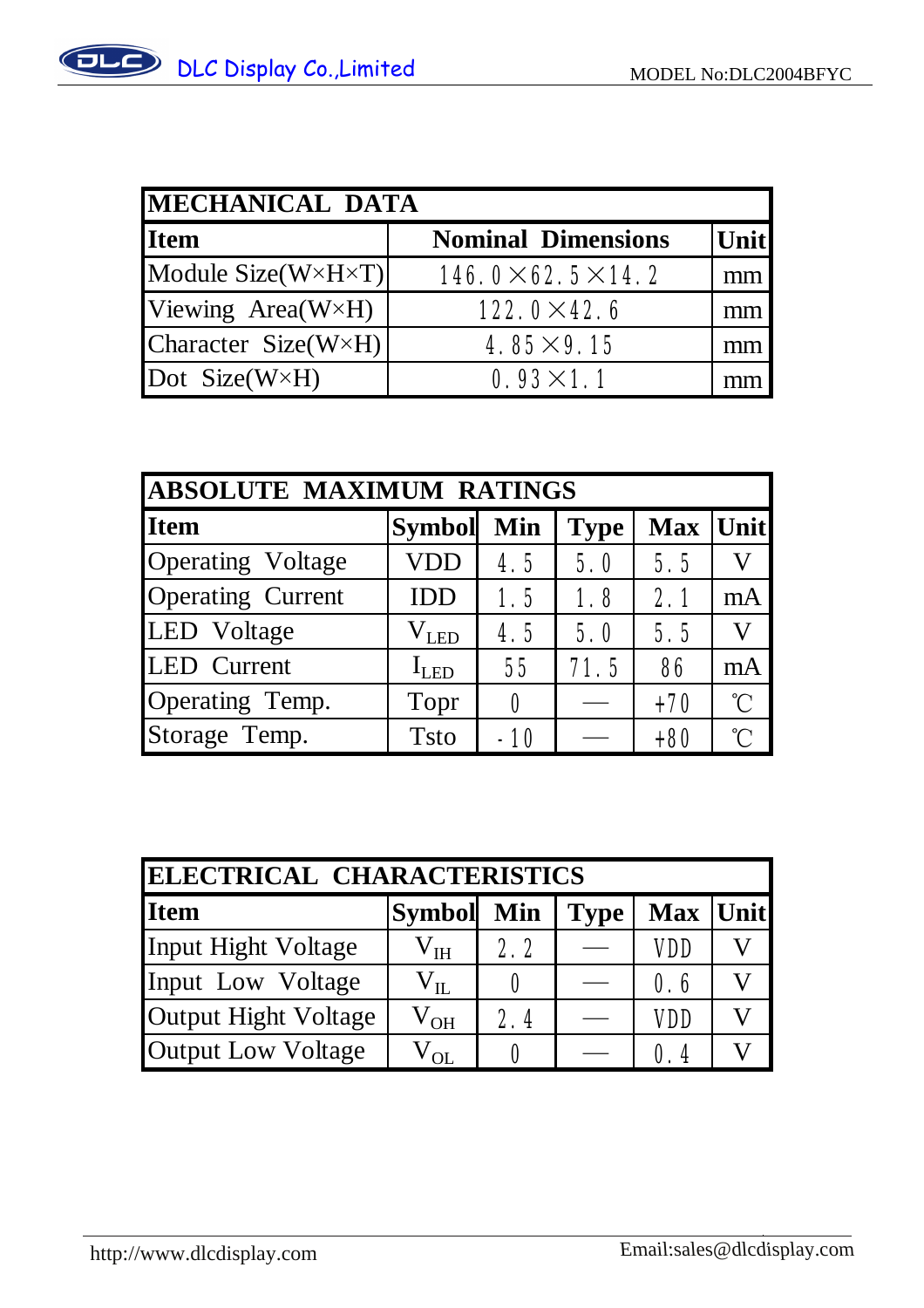| MECHANICAL DATA                    |                               |       |  |  |
|------------------------------------|-------------------------------|-------|--|--|
| <b>Item</b>                        | <b>Nominal Dimensions</b>     | Unitl |  |  |
| Module $Size(W \times H \times T)$ | $146.0\times 62.5\times 14.2$ | mm    |  |  |
| Viewing $Area(W \times H)$         | $122.0 \times 42.6$           | mm    |  |  |
| Character Size( $W \times H$ )     | $4.85 \times 9.15$            |       |  |  |
| Dot Size( $W \times H$ )           | $0.93 \times 1.1$             |       |  |  |

| <b>ABSOLUTE MAXIMUM RATINGS</b> |               |       |             |          |             |
|---------------------------------|---------------|-------|-------------|----------|-------------|
| <b>Item</b>                     | Symbol Min    |       | <b>Type</b> | Max Unit |             |
| Operating Voltage               | <b>VDD</b>    | 4.5   | 5.0         | 5.5      |             |
| <b>Operating Current</b>        | <b>IDD</b>    | 1.5   | 1.8         | 2.1      | mA          |
| LED Voltage                     | $\rm V_{LED}$ | 4.5   | 5.0         | 5.5      |             |
| LED Current<br>$I_{LED}$        |               | 55    | 71.5        | 86       | mA          |
| Operating Temp.                 | Topr          |       |             | $+70$    | $^{\circ}C$ |
| Storage Temp.                   | <b>T</b> sto  | $-10$ |             | $+80$    | $^{\circ}$  |

| ELECTRICAL CHARACTERISTICS |              |     |             |            |  |
|----------------------------|--------------|-----|-------------|------------|--|
| <b>Item</b>                | Symbol Min   |     | <b>Type</b> | Max Unit   |  |
| Input Hight Voltage        | $\rm V_{IH}$ | 2.2 |             | <b>VDD</b> |  |
| Input Low Voltage          | $\rm V_{II}$ | 0   |             | 0.6        |  |
| Output Hight Voltage       | $\rm V_{OH}$ | 2.4 |             | <b>VDD</b> |  |
| <b>Output Low Voltage</b>  | $V_{\rm OL}$ | Λ   |             | 0.4        |  |